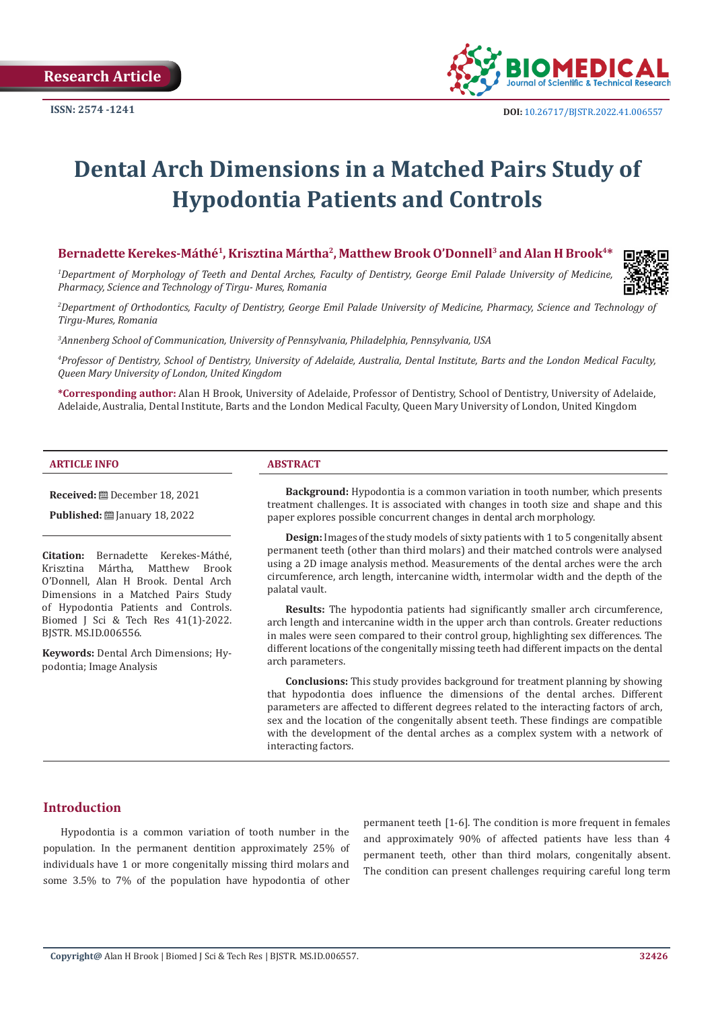

# **Dental Arch Dimensions in a Matched Pairs Study of Hypodontia Patients and Controls**

#### Bernadette Kerekes-Máthé<sup>1</sup>, Krisztina Mártha<sup>2</sup>, Matthew Brook O'Donnell<sup>3</sup> and Alan H Brook<sup>4\*</sup>

*1 Department of Morphology of Teeth and Dental Arches, Faculty of Dentistry, George Emil Palade University of Medicine, Pharmacy, Science and Technology of Tirgu- Mures, Romania*



*2 Department of Orthodontics, Faculty of Dentistry, George Emil Palade University of Medicine, Pharmacy, Science and Technology of Tirgu-Mures, Romania*

*3 Annenberg School of Communication, University of Pennsylvania, Philadelphia, Pennsylvania, USA*

*4 Professor of Dentistry, School of Dentistry, University of Adelaide, Australia, Dental Institute, Barts and the London Medical Faculty, Queen Mary University of London, United Kingdom*

**\*Corresponding author:** Alan H Brook, University of Adelaide, Professor of Dentistry, School of Dentistry, University of Adelaide, Adelaide, Australia, Dental Institute, Barts and the London Medical Faculty, Queen Mary University of London, United Kingdom

#### **ARTICLE INFO ABSTRACT**

**Received:** December 18, 2021

**Published:** January 18, 2022

**Citation:** Bernadette Kerekes-Máthé, Matthew Brook O'Donnell, Alan H Brook. Dental Arch Dimensions in a Matched Pairs Study of Hypodontia Patients and Controls. Biomed J Sci & Tech Res 41(1)-2022. BJSTR. MS.ID.006556.

**Keywords:** Dental Arch Dimensions; Hypodontia; Image Analysis

**Background:** Hypodontia is a common variation in tooth number, which presents treatment challenges. It is associated with changes in tooth size and shape and this paper explores possible concurrent changes in dental arch morphology.

**Design:** Images of the study models of sixty patients with 1 to 5 congenitally absent permanent teeth (other than third molars) and their matched controls were analysed using a 2D image analysis method. Measurements of the dental arches were the arch circumference, arch length, intercanine width, intermolar width and the depth of the palatal vault.

**Results:** The hypodontia patients had significantly smaller arch circumference, arch length and intercanine width in the upper arch than controls. Greater reductions in males were seen compared to their control group, highlighting sex differences. The different locations of the congenitally missing teeth had different impacts on the dental arch parameters.

**Conclusions:** This study provides background for treatment planning by showing that hypodontia does influence the dimensions of the dental arches. Different parameters are affected to different degrees related to the interacting factors of arch, sex and the location of the congenitally absent teeth. These findings are compatible with the development of the dental arches as a complex system with a network of interacting factors.

## **Introduction**

Hypodontia is a common variation of tooth number in the population. In the permanent dentition approximately 25% of individuals have 1 or more congenitally missing third molars and some 3.5% to 7% of the population have hypodontia of other permanent teeth [1-6]. The condition is more frequent in females and approximately 90% of affected patients have less than 4 permanent teeth, other than third molars, congenitally absent. The condition can present challenges requiring careful long term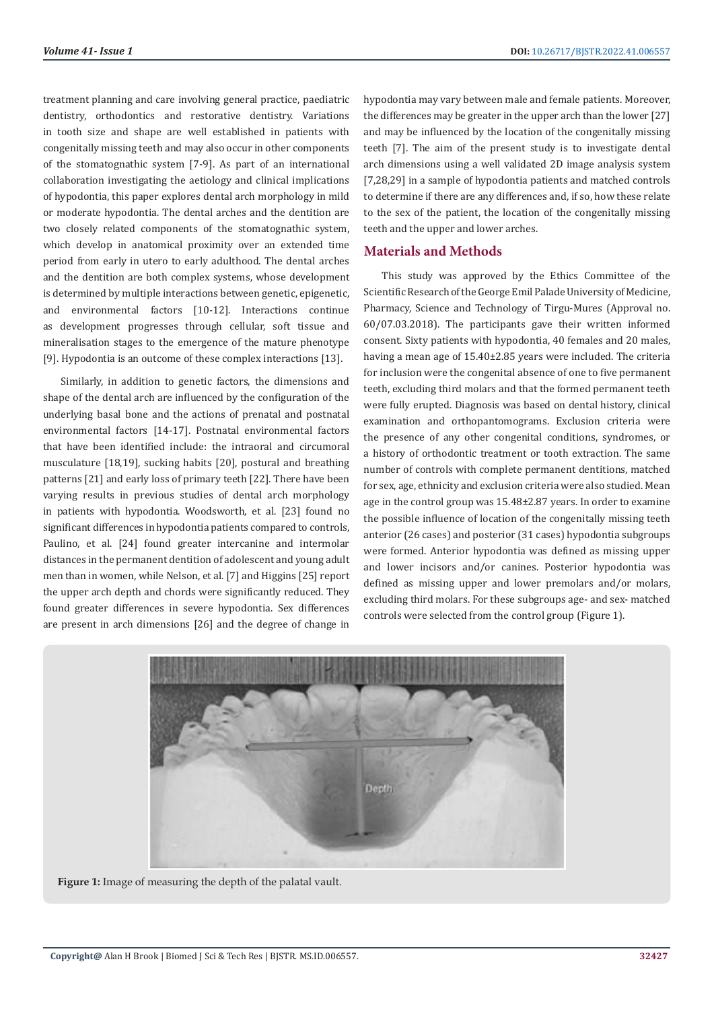treatment planning and care involving general practice, paediatric dentistry, orthodontics and restorative dentistry. Variations in tooth size and shape are well established in patients with congenitally missing teeth and may also occur in other components of the stomatognathic system [7-9]. As part of an international collaboration investigating the aetiology and clinical implications of hypodontia, this paper explores dental arch morphology in mild or moderate hypodontia. The dental arches and the dentition are two closely related components of the stomatognathic system, which develop in anatomical proximity over an extended time period from early in utero to early adulthood. The dental arches and the dentition are both complex systems, whose development is determined by multiple interactions between genetic, epigenetic, and environmental factors [10-12]. Interactions continue as development progresses through cellular, soft tissue and mineralisation stages to the emergence of the mature phenotype [9]. Hypodontia is an outcome of these complex interactions [13].

Similarly, in addition to genetic factors, the dimensions and shape of the dental arch are influenced by the configuration of the underlying basal bone and the actions of prenatal and postnatal environmental factors [14-17]. Postnatal environmental factors that have been identified include: the intraoral and circumoral musculature [18,19], sucking habits [20], postural and breathing patterns [21] and early loss of primary teeth [22]. There have been varying results in previous studies of dental arch morphology in patients with hypodontia. Woodsworth, et al. [23] found no significant differences in hypodontia patients compared to controls, Paulino, et al. [24] found greater intercanine and intermolar distances in the permanent dentition of adolescent and young adult men than in women, while Nelson, et al. [7] and Higgins [25] report the upper arch depth and chords were significantly reduced. They found greater differences in severe hypodontia. Sex differences are present in arch dimensions [26] and the degree of change in

hypodontia may vary between male and female patients. Moreover, the differences may be greater in the upper arch than the lower [27] and may be influenced by the location of the congenitally missing teeth [7]. The aim of the present study is to investigate dental arch dimensions using a well validated 2D image analysis system [7,28,29] in a sample of hypodontia patients and matched controls to determine if there are any differences and, if so, how these relate to the sex of the patient, the location of the congenitally missing teeth and the upper and lower arches.

### **Materials and Methods**

This study was approved by the Ethics Committee of the Scientific Research of the George Emil Palade University of Medicine, Pharmacy, Science and Technology of Tirgu-Mures (Approval no. 60/07.03.2018). The participants gave their written informed consent. Sixty patients with hypodontia, 40 females and 20 males, having a mean age of 15.40±2.85 years were included. The criteria for inclusion were the congenital absence of one to five permanent teeth, excluding third molars and that the formed permanent teeth were fully erupted. Diagnosis was based on dental history, clinical examination and orthopantomograms. Exclusion criteria were the presence of any other congenital conditions, syndromes, or a history of orthodontic treatment or tooth extraction. The same number of controls with complete permanent dentitions, matched for sex, age, ethnicity and exclusion criteria were also studied. Mean age in the control group was 15.48±2.87 years. In order to examine the possible influence of location of the congenitally missing teeth anterior (26 cases) and posterior (31 cases) hypodontia subgroups were formed. Anterior hypodontia was defined as missing upper and lower incisors and/or canines. Posterior hypodontia was defined as missing upper and lower premolars and/or molars, excluding third molars. For these subgroups age- and sex- matched controls were selected from the control group (Figure 1).



**Figure 1:** Image of measuring the depth of the palatal vault.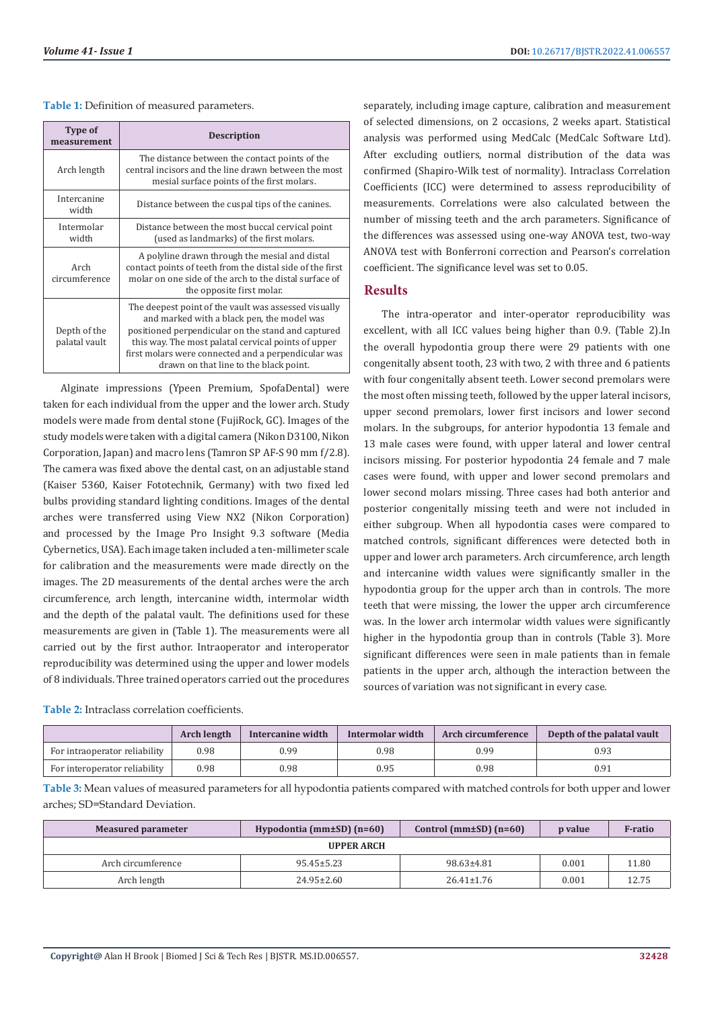| Table 1: Definition of measured parameters. |  |  |
|---------------------------------------------|--|--|
|---------------------------------------------|--|--|

| Type of<br>measurement                                                                                                                                                                                                                                                                                                                            | <b>Description</b>                                                                                                                                                                                 |  |
|---------------------------------------------------------------------------------------------------------------------------------------------------------------------------------------------------------------------------------------------------------------------------------------------------------------------------------------------------|----------------------------------------------------------------------------------------------------------------------------------------------------------------------------------------------------|--|
| Arch length                                                                                                                                                                                                                                                                                                                                       | The distance between the contact points of the<br>central incisors and the line drawn between the most<br>mesial surface points of the first molars.                                               |  |
| Intercanine<br>width                                                                                                                                                                                                                                                                                                                              | Distance between the cuspal tips of the canines.                                                                                                                                                   |  |
| Intermolar<br>width                                                                                                                                                                                                                                                                                                                               | Distance between the most buccal cervical point<br>(used as landmarks) of the first molars.                                                                                                        |  |
| Arch<br>circumference                                                                                                                                                                                                                                                                                                                             | A polyline drawn through the mesial and distal<br>contact points of teeth from the distal side of the first<br>molar on one side of the arch to the distal surface of<br>the opposite first molar. |  |
| The deepest point of the vault was assessed visually<br>and marked with a black pen, the model was<br>positioned perpendicular on the stand and captured<br>Depth of the<br>palatal vault<br>this way. The most palatal cervical points of upper<br>first molars were connected and a perpendicular was<br>drawn on that line to the black point. |                                                                                                                                                                                                    |  |

Alginate impressions (Ypeen Premium, SpofaDental) were taken for each individual from the upper and the lower arch. Study models were made from dental stone (FujiRock, GC). Images of the study models were taken with a digital camera (Nikon D3100, Nikon Corporation, Japan) and macro lens (Tamron SP AF-S 90 mm f/2.8). The camera was fixed above the dental cast, on an adjustable stand (Kaiser 5360, Kaiser Fototechnik, Germany) with two fixed led bulbs providing standard lighting conditions. Images of the dental arches were transferred using View NX2 (Nikon Corporation) and processed by the Image Pro Insight 9.3 software (Media Cybernetics, USA). Each image taken included a ten-millimeter scale for calibration and the measurements were made directly on the images. The 2D measurements of the dental arches were the arch circumference, arch length, intercanine width, intermolar width and the depth of the palatal vault. The definitions used for these measurements are given in (Table 1). The measurements were all carried out by the first author. Intraoperator and interoperator reproducibility was determined using the upper and lower models of 8 individuals. Three trained operators carried out the procedures

**Table 2:** Intraclass correlation coefficients.

separately, including image capture, calibration and measurement of selected dimensions, on 2 occasions, 2 weeks apart. Statistical analysis was performed using MedCalc (MedCalc Software Ltd). After excluding outliers, normal distribution of the data was confirmed (Shapiro-Wilk test of normality). Intraclass Correlation Coefficients (ICC) were determined to assess reproducibility of measurements. Correlations were also calculated between the number of missing teeth and the arch parameters. Significance of the differences was assessed using one-way ANOVA test, two-way ANOVA test with Bonferroni correction and Pearson's correlation coefficient. The significance level was set to 0.05.

#### **Results**

The intra-operator and inter-operator reproducibility was excellent, with all ICC values being higher than 0.9. (Table 2).In the overall hypodontia group there were 29 patients with one congenitally absent tooth, 23 with two, 2 with three and 6 patients with four congenitally absent teeth. Lower second premolars were the most often missing teeth, followed by the upper lateral incisors, upper second premolars, lower first incisors and lower second molars. In the subgroups, for anterior hypodontia 13 female and 13 male cases were found, with upper lateral and lower central incisors missing. For posterior hypodontia 24 female and 7 male cases were found, with upper and lower second premolars and lower second molars missing. Three cases had both anterior and posterior congenitally missing teeth and were not included in either subgroup. When all hypodontia cases were compared to matched controls, significant differences were detected both in upper and lower arch parameters. Arch circumference, arch length and intercanine width values were significantly smaller in the hypodontia group for the upper arch than in controls. The more teeth that were missing, the lower the upper arch circumference was. In the lower arch intermolar width values were significantly higher in the hypodontia group than in controls (Table 3). More significant differences were seen in male patients than in female patients in the upper arch, although the interaction between the sources of variation was not significant in every case.

|                               | <b>Arch length</b> | Intercanine width | Intermolar width | Arch circumference | Depth of the palatal vault |
|-------------------------------|--------------------|-------------------|------------------|--------------------|----------------------------|
| For intraoperator reliability | 0.98               | 0.99              | 0.98             | 0.99               |                            |
| For interoperator reliability | 0.98               | 0.98              | 0.95             | 0.98               |                            |

**Table 3:** Mean values of measured parameters for all hypodontia patients compared with matched controls for both upper and lower arches; SD=Standard Deviation.

| Hypodontia ( $mm\pm SD$ ) ( $n=60$ )<br><b>Measured parameter</b> |                  | Control ( $mm\pm SD$ ) ( $n=60$ ) | p value | <b>F-ratio</b> |
|-------------------------------------------------------------------|------------------|-----------------------------------|---------|----------------|
| <b>UPPER ARCH</b>                                                 |                  |                                   |         |                |
| Arch circumference                                                | $95.45 \pm 5.23$ | 98.63±4.81                        | 0.001   | 11.80          |
| Arch length                                                       | $24.95 \pm 2.60$ | $26.41 \pm 1.76$                  | 0.001   | 12.75          |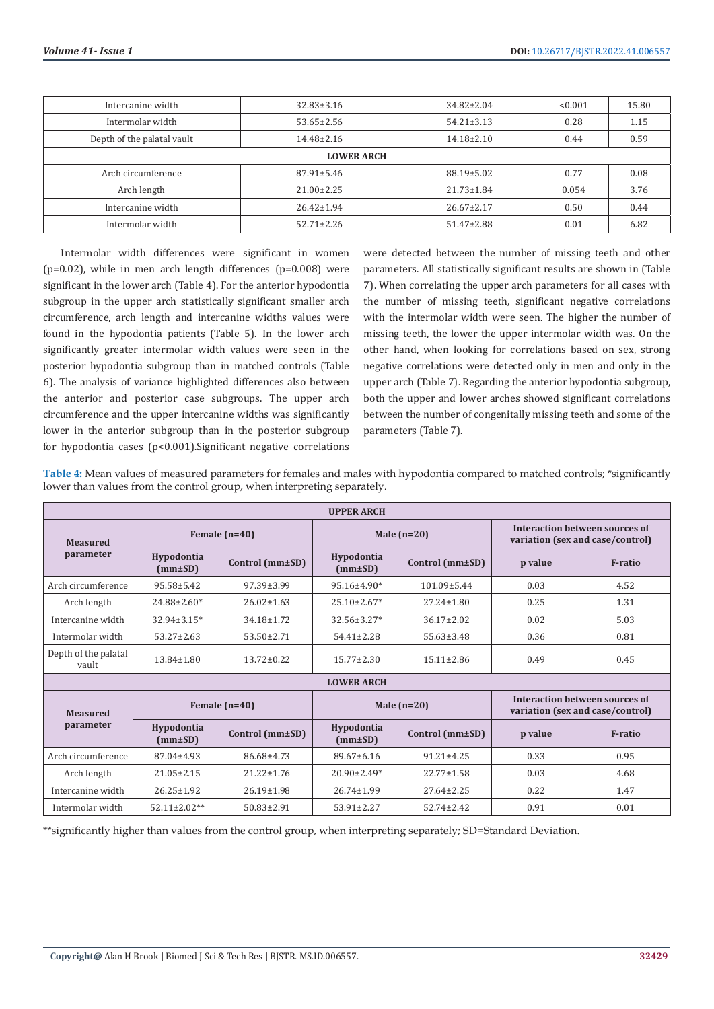| Intercanine width          | $32.83 \pm 3.16$ | $34.82 \pm 2.04$ | < 0.001 | 15.80 |  |
|----------------------------|------------------|------------------|---------|-------|--|
| Intermolar width           | $53.65 \pm 2.56$ | $54.21 \pm 3.13$ | 0.28    | 1.15  |  |
| Depth of the palatal vault | 14.48±2.16       | $14.18 \pm 2.10$ | 0.44    | 0.59  |  |
| <b>LOWER ARCH</b>          |                  |                  |         |       |  |
| Arch circumference         | $87.91 \pm 5.46$ | 88.19±5.02       | 0.77    | 0.08  |  |
| Arch length                | $21.00 \pm 2.25$ | $21.73 \pm 1.84$ | 0.054   | 3.76  |  |
| Intercanine width          | $26.42 \pm 1.94$ | $26.67 \pm 2.17$ | 0.50    | 0.44  |  |
| Intermolar width           | $52.71 \pm 2.26$ | $51.47 \pm 2.88$ | 0.01    | 6.82  |  |

Intermolar width differences were significant in women ( $p=0.02$ ), while in men arch length differences ( $p=0.008$ ) were significant in the lower arch (Table 4). For the anterior hypodontia subgroup in the upper arch statistically significant smaller arch circumference, arch length and intercanine widths values were found in the hypodontia patients (Table 5). In the lower arch significantly greater intermolar width values were seen in the posterior hypodontia subgroup than in matched controls (Table 6). The analysis of variance highlighted differences also between the anterior and posterior case subgroups. The upper arch circumference and the upper intercanine widths was significantly lower in the anterior subgroup than in the posterior subgroup for hypodontia cases ( $p$ <0.001). Significant negative correlations

were detected between the number of missing teeth and other parameters. All statistically significant results are shown in (Table 7). When correlating the upper arch parameters for all cases with the number of missing teeth, significant negative correlations with the intermolar width were seen. The higher the number of missing teeth, the lower the upper intermolar width was. On the other hand, when looking for correlations based on sex, strong negative correlations were detected only in men and only in the upper arch (Table 7). Regarding the anterior hypodontia subgroup, both the upper and lower arches showed significant correlations between the number of congenitally missing teeth and some of the parameters (Table 7).

**Table 4:** Mean values of measured parameters for females and males with hypodontia compared to matched controls; \*significantly lower than values from the control group, when interpreting separately.

| <b>UPPER ARCH</b>                  |                             |                  |                             |                   |                                                                    |                                                                    |  |
|------------------------------------|-----------------------------|------------------|-----------------------------|-------------------|--------------------------------------------------------------------|--------------------------------------------------------------------|--|
| Female $(n=40)$<br><b>Measured</b> |                             |                  | Male $(n=20)$               |                   |                                                                    | Interaction between sources of<br>variation (sex and case/control) |  |
| parameter                          | Hypodontia<br>$(mm \pm SD)$ | Control (mm±SD)  | Hypodontia<br>$(mm \pm SD)$ | Control (mm±SD)   | p value                                                            | <b>F-ratio</b>                                                     |  |
| Arch circumference                 | 95.58±5.42                  | $97.39 \pm 3.99$ | 95.16±4.90*                 | $101.09 \pm 5.44$ | 0.03                                                               | 4.52                                                               |  |
| Arch length                        | $24.88 \pm 2.60*$           | $26.02 \pm 1.63$ | $25.10 \pm 2.67*$           | $27.24 \pm 1.80$  | 0.25                                                               | 1.31                                                               |  |
| Intercanine width                  | $32.94 \pm 3.15*$           | 34.18±1.72       | $32.56 \pm 3.27*$           | $36.17 \pm 2.02$  | 0.02                                                               | 5.03                                                               |  |
| Intermolar width                   | $53.27 \pm 2.63$            | $53.50 \pm 2.71$ | $54.41 \pm 2.28$            | $55.63 \pm 3.48$  | 0.36                                                               | 0.81                                                               |  |
| Depth of the palatal<br>vault      | 13.84±1.80                  | $13.72 \pm 0.22$ | $15.77 \pm 2.30$            | $15.11 \pm 2.86$  | 0.49                                                               | 0.45                                                               |  |
|                                    |                             |                  | <b>LOWER ARCH</b>           |                   |                                                                    |                                                                    |  |
| <b>Measured</b>                    |                             | Female $(n=40)$  | Male $(n=20)$               |                   | Interaction between sources of<br>variation (sex and case/control) |                                                                    |  |
| parameter                          | Hypodontia<br>$(mm \pm SD)$ | Control (mm±SD)  | Hypodontia<br>$(mm \pm SD)$ | Control (mm±SD)   | p value                                                            | F-ratio                                                            |  |
| Arch circumference                 | 87.04±4.93                  | 86.68±4.73       | $89.67 \pm 6.16$            | $91.21 \pm 4.25$  | 0.33                                                               | 0.95                                                               |  |
| Arch length                        | $21.05 \pm 2.15$            | $21.22 \pm 1.76$ | $20.90 \pm 2.49*$           | $22.77 \pm 1.58$  | 0.03                                                               | 4.68                                                               |  |
| Intercanine width                  | $26.25 \pm 1.92$            | $26.19 \pm 1.98$ | $26.74 \pm 1.99$            | $27.64 \pm 2.25$  | 0.22                                                               | 1.47                                                               |  |
| Intermolar width                   | $52.11 \pm 2.02**$          | $50.83 \pm 2.91$ | $53.91 \pm 2.27$            | $52.74 \pm 2.42$  | 0.91                                                               | 0.01                                                               |  |

\*\*significantly higher than values from the control group, when interpreting separately; SD=Standard Deviation.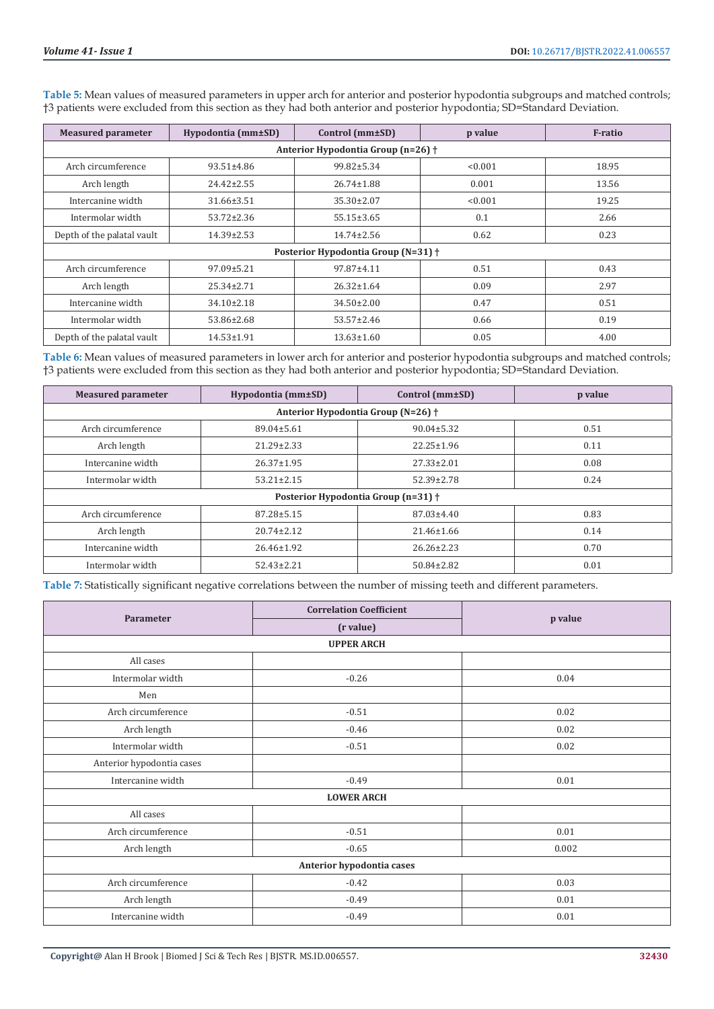| <b>Measured parameter</b>           | Hypodontia (mm±SD)                 | Control (mm±SD)  | p value | F-ratio |  |  |
|-------------------------------------|------------------------------------|------------------|---------|---------|--|--|
|                                     | Anterior Hypodontia Group (n=26) + |                  |         |         |  |  |
| Arch circumference                  | $93.51 \pm 4.86$                   | 99.82±5.34       | < 0.001 | 18.95   |  |  |
| Arch length                         | $24.42 \pm 2.55$                   | $26.74 \pm 1.88$ | 0.001   | 13.56   |  |  |
| Intercanine width                   | 31.66±3.51                         | 35.30±2.07       | < 0.001 | 19.25   |  |  |
| Intermolar width                    | $53.72 \pm 2.36$                   | $55.15 \pm 3.65$ | 0.1     | 2.66    |  |  |
| Depth of the palatal vault          | $14.39 \pm 2.53$                   | $14.74 \pm 2.56$ | 0.62    | 0.23    |  |  |
| Posterior Hypodontia Group (N=31) + |                                    |                  |         |         |  |  |
| Arch circumference                  | $97.09 \pm 5.21$                   | 97.87±4.11       | 0.51    | 0.43    |  |  |
| Arch length                         | $25.34 \pm 2.71$                   | $26.32 \pm 1.64$ | 0.09    | 2.97    |  |  |
| Intercanine width                   | $34.10 \pm 2.18$                   | $34.50 \pm 2.00$ | 0.47    | 0.51    |  |  |
| Intermolar width                    | 53.86±2.68                         | $53.57 \pm 2.46$ | 0.66    | 0.19    |  |  |
| Depth of the palatal vault          | $14.53 \pm 1.91$                   | $13.63 \pm 1.60$ | 0.05    | 4.00    |  |  |

**Table 5:** Mean values of measured parameters in upper arch for anterior and posterior hypodontia subgroups and matched controls; †3 patients were excluded from this section as they had both anterior and posterior hypodontia; SD=Standard Deviation.

**Table 6:** Mean values of measured parameters in lower arch for anterior and posterior hypodontia subgroups and matched controls; †3 patients were excluded from this section as they had both anterior and posterior hypodontia; SD=Standard Deviation.

| <b>Measured parameter</b>           | Hypodontia (mm±SD) | Control (mm±SD)                    | p value |  |
|-------------------------------------|--------------------|------------------------------------|---------|--|
|                                     |                    | Anterior Hypodontia Group (N=26) + |         |  |
| Arch circumference                  | 89.04±5.61         | $90.04 \pm 5.32$                   | 0.51    |  |
| Arch length                         | $21.29 \pm 2.33$   | $22.25 \pm 1.96$                   | 0.11    |  |
| Intercanine width                   | $26.37 \pm 1.95$   | $27.33 \pm 2.01$                   | 0.08    |  |
| Intermolar width                    | $53.21 \pm 2.15$   | $52.39 \pm 2.78$                   | 0.24    |  |
| Posterior Hypodontia Group (n=31) + |                    |                                    |         |  |
| Arch circumference                  | $87.28 \pm 5.15$   | $87.03 \pm 4.40$                   | 0.83    |  |
| Arch length                         | $20.74 \pm 2.12$   | $21.46 \pm 1.66$                   | 0.14    |  |
| Intercanine width                   | $26.46 \pm 1.92$   | $26.26 \pm 2.23$                   | 0.70    |  |
| Intermolar width                    | $52.43 \pm 2.21$   | $50.84 \pm 2.82$                   | 0.01    |  |

**Table 7:** Statistically significant negative correlations between the number of missing teeth and different parameters.

|                           | <b>Correlation Coefficient</b> |         |  |  |
|---------------------------|--------------------------------|---------|--|--|
| Parameter                 | (r value)                      | p value |  |  |
|                           | <b>UPPER ARCH</b>              |         |  |  |
| All cases                 |                                |         |  |  |
| Intermolar width          | $-0.26$                        | 0.04    |  |  |
| Men                       |                                |         |  |  |
| Arch circumference        | $-0.51$                        | 0.02    |  |  |
| Arch length               | $-0.46$                        | 0.02    |  |  |
| Intermolar width          | $-0.51$                        | 0.02    |  |  |
| Anterior hypodontia cases |                                |         |  |  |
| Intercanine width         | $-0.49$                        | 0.01    |  |  |
| <b>LOWER ARCH</b>         |                                |         |  |  |
| All cases                 |                                |         |  |  |
| Arch circumference        | $-0.51$                        | 0.01    |  |  |
| Arch length               | $-0.65$                        | 0.002   |  |  |
| Anterior hypodontia cases |                                |         |  |  |
| Arch circumference        | $-0.42$                        | 0.03    |  |  |
| Arch length               | $-0.49$                        | 0.01    |  |  |
| Intercanine width         | $-0.49$                        | 0.01    |  |  |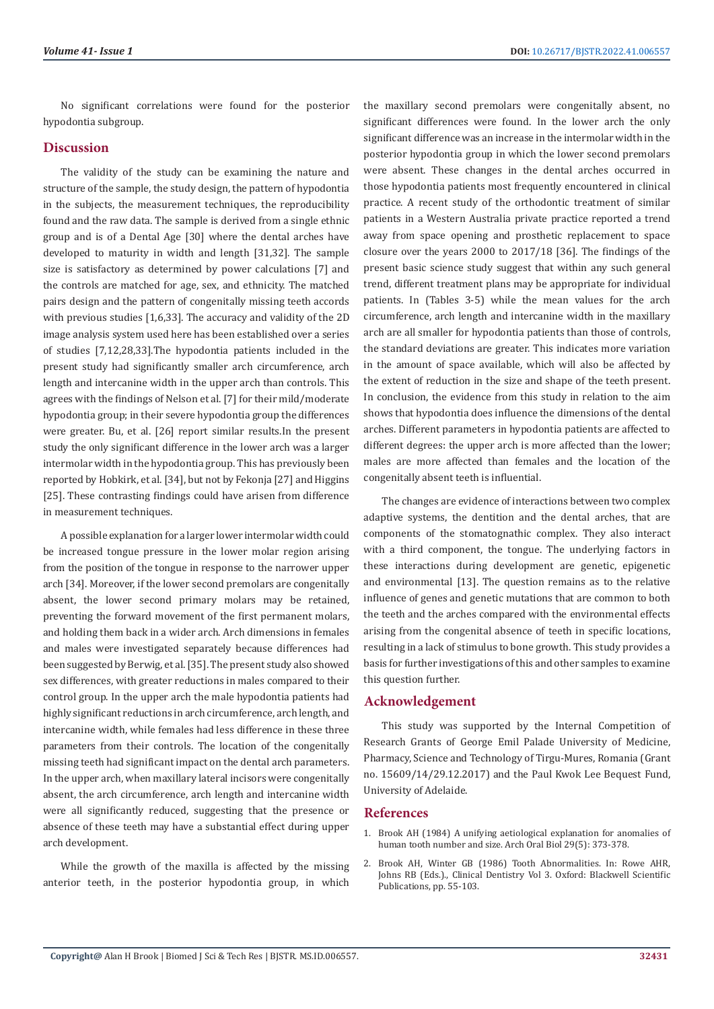No significant correlations were found for the posterior hypodontia subgroup.

#### **Discussion**

The validity of the study can be examining the nature and structure of the sample, the study design, the pattern of hypodontia in the subjects, the measurement techniques, the reproducibility found and the raw data. The sample is derived from a single ethnic group and is of a Dental Age [30] where the dental arches have developed to maturity in width and length [31,32]. The sample size is satisfactory as determined by power calculations [7] and the controls are matched for age, sex, and ethnicity. The matched pairs design and the pattern of congenitally missing teeth accords with previous studies [1,6,33]. The accuracy and validity of the 2D image analysis system used here has been established over a series of studies [7,12,28,33].The hypodontia patients included in the present study had significantly smaller arch circumference, arch length and intercanine width in the upper arch than controls. This agrees with the findings of Nelson et al. [7] for their mild/moderate hypodontia group; in their severe hypodontia group the differences were greater. Bu, et al. [26] report similar results.In the present study the only significant difference in the lower arch was a larger intermolar width in the hypodontia group. This has previously been reported by Hobkirk, et al. [34], but not by Fekonja [27] and Higgins [25]. These contrasting findings could have arisen from difference in measurement techniques.

A possible explanation for a larger lower intermolar width could be increased tongue pressure in the lower molar region arising from the position of the tongue in response to the narrower upper arch [34]. Moreover, if the lower second premolars are congenitally absent, the lower second primary molars may be retained, preventing the forward movement of the first permanent molars, and holding them back in a wider arch. Arch dimensions in females and males were investigated separately because differences had been suggested by Berwig, et al. [35]. The present study also showed sex differences, with greater reductions in males compared to their control group. In the upper arch the male hypodontia patients had highly significant reductions in arch circumference, arch length, and intercanine width, while females had less difference in these three parameters from their controls. The location of the congenitally missing teeth had significant impact on the dental arch parameters. In the upper arch, when maxillary lateral incisors were congenitally absent, the arch circumference, arch length and intercanine width were all significantly reduced, suggesting that the presence or absence of these teeth may have a substantial effect during upper arch development.

While the growth of the maxilla is affected by the missing anterior teeth, in the posterior hypodontia group, in which

the maxillary second premolars were congenitally absent, no significant differences were found. In the lower arch the only significant difference was an increase in the intermolar width in the posterior hypodontia group in which the lower second premolars were absent. These changes in the dental arches occurred in those hypodontia patients most frequently encountered in clinical practice. A recent study of the orthodontic treatment of similar patients in a Western Australia private practice reported a trend away from space opening and prosthetic replacement to space closure over the years 2000 to 2017/18 [36]. The findings of the present basic science study suggest that within any such general trend, different treatment plans may be appropriate for individual patients. In (Tables 3-5) while the mean values for the arch circumference, arch length and intercanine width in the maxillary arch are all smaller for hypodontia patients than those of controls, the standard deviations are greater. This indicates more variation in the amount of space available, which will also be affected by the extent of reduction in the size and shape of the teeth present. In conclusion, the evidence from this study in relation to the aim shows that hypodontia does influence the dimensions of the dental arches. Different parameters in hypodontia patients are affected to different degrees: the upper arch is more affected than the lower; males are more affected than females and the location of the congenitally absent teeth is influential.

The changes are evidence of interactions between two complex adaptive systems, the dentition and the dental arches, that are components of the stomatognathic complex. They also interact with a third component, the tongue. The underlying factors in these interactions during development are genetic, epigenetic and environmental [13]. The question remains as to the relative influence of genes and genetic mutations that are common to both the teeth and the arches compared with the environmental effects arising from the congenital absence of teeth in specific locations, resulting in a lack of stimulus to bone growth. This study provides a basis for further investigations of this and other samples to examine this question further.

#### **Acknowledgement**

This study was supported by the Internal Competition of Research Grants of George Emil Palade University of Medicine, Pharmacy, Science and Technology of Tirgu-Mures, Romania (Grant no. 15609/14/29.12.2017) and the Paul Kwok Lee Bequest Fund, University of Adelaide.

#### **References**

- 1. [Brook AH \(1984\) A unifying aetiological explanation for anomalies of](https://pubmed.ncbi.nlm.nih.gov/6611147/) [human tooth number and size. Arch Oral Biol 29\(5\): 373-378.](https://pubmed.ncbi.nlm.nih.gov/6611147/)
- 2. Brook AH, Winter GB (1986) Tooth Abnormalities. In: Rowe AHR, Johns RB (Eds.)., Clinical Dentistry Vol 3. Oxford: Blackwell Scientific Publications, pp. 55-103.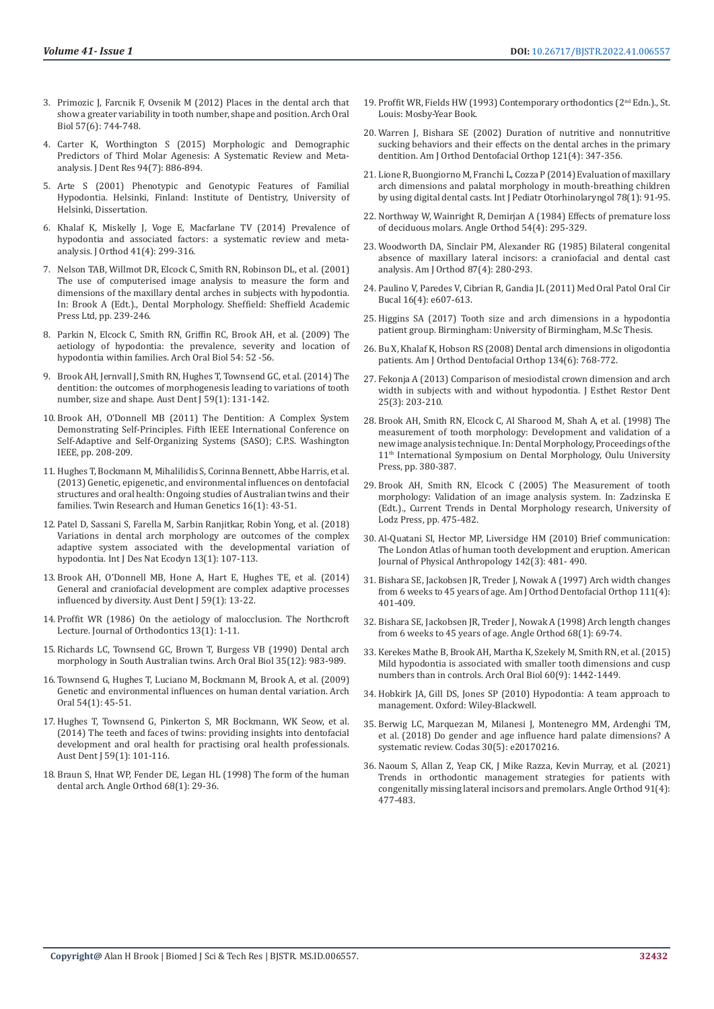- 3. [Primozic J, Farcnik F, Ovsenik M \(2012\) Places in the dental arch that](https://pubmed.ncbi.nlm.nih.gov/22153610/)  [show a greater variability in tooth number, shape and position. Arch Oral](https://pubmed.ncbi.nlm.nih.gov/22153610/)  [Biol 57\(6\): 744-748.](https://pubmed.ncbi.nlm.nih.gov/22153610/)
- 4. [Carter K, Worthington S \(2015\) Morphologic and Demographic](https://pubmed.ncbi.nlm.nih.gov/25883107/)  [Predictors of Third Molar Agenesis: A Systematic Review and Meta](https://pubmed.ncbi.nlm.nih.gov/25883107/)[analysis. J Dent Res 94\(7\): 886-894.](https://pubmed.ncbi.nlm.nih.gov/25883107/)
- 5. [Arte S \(2001\) Phenotypic and Genotypic Features of Familial](https://helda.helsinki.fi/bitstream/handle/10138/20288/phenotyp.pdf?sequence=1)  [Hypodontia. Helsinki, Finland: Institute of Dentistry, University of](https://helda.helsinki.fi/bitstream/handle/10138/20288/phenotyp.pdf?sequence=1)  [Helsinki, Dissertation.](https://helda.helsinki.fi/bitstream/handle/10138/20288/phenotyp.pdf?sequence=1)
- 6. [Khalaf K, Miskelly J, Voge E, Macfarlane TV \(2014\) Prevalence of](https://pubmed.ncbi.nlm.nih.gov/25404667/)  [hypodontia and associated factors: a systematic review and meta](https://pubmed.ncbi.nlm.nih.gov/25404667/)[analysis. J Orthod 41\(4\): 299-316.](https://pubmed.ncbi.nlm.nih.gov/25404667/)
- 7. Nelson TAB, Willmot DR, Elcock C, Smith RN, Robinson DL, et al. (2001) The use of computerised image analysis to measure the form and dimensions of the maxillary dental arches in subjects with hypodontia. In: Brook A (Edt.)., Dental Morphology. Sheffield: Sheffield Academic Press Ltd, pp. 239-246.
- 8. [Parkin N, Elcock C, Smith RN, Griffin RC, Brook AH, et al. \(2009\) The](https://pubmed.ncbi.nlm.nih.gov/19100963/)  [aetiology of hypodontia: the prevalence, severity and location of](https://pubmed.ncbi.nlm.nih.gov/19100963/)  [hypodontia within families. Arch Oral Biol 54: 52 -56.](https://pubmed.ncbi.nlm.nih.gov/19100963/)
- 9. [Brook AH, Jernvall J, Smith RN, Hughes T, Townsend GC, et al. \(2014\) The](https://pubmed.ncbi.nlm.nih.gov/24646162/)  [dentition: the outcomes of morphogenesis leading to variations of tooth](https://pubmed.ncbi.nlm.nih.gov/24646162/)  [number, size and shape. Aust Dent J 59\(1\): 131-142.](https://pubmed.ncbi.nlm.nih.gov/24646162/)
- 10. Brook AH, O'Donnell MB (2011) The Dentition: A Complex System Demonstrating Self-Principles. Fifth IEEE International Conference on Self-Adaptive and Self-Organizing Systems (SASO); C.P.S. Washington IEEE, pp. 208-209.
- 11. [Hughes T, Bockmann M, Mihalilidis S, Corinna Bennett, Abbe Harris, et al.](https://pubmed.ncbi.nlm.nih.gov/23394189/)  [\(2013\) Genetic, epigenetic, and environmental influences on dentofacial](https://pubmed.ncbi.nlm.nih.gov/23394189/)  [structures and oral health: Ongoing studies of Australian twins and their](https://pubmed.ncbi.nlm.nih.gov/23394189/)  [families. Twin Research and Human Genetics 16\(1\): 43-51.](https://pubmed.ncbi.nlm.nih.gov/23394189/)
- 12. [Patel D, Sassani S, Farella M, Sarbin Ranjitkar, Robin Yong, et al. \(2018\)](https://www.witpress.com/elibrary/dne-volumes/13/1/1870)  [Variations in dental arch morphology are outcomes of the complex](https://www.witpress.com/elibrary/dne-volumes/13/1/1870)  [adaptive system associated with the developmental variation of](https://www.witpress.com/elibrary/dne-volumes/13/1/1870)  [hypodontia. Int J Des Nat Ecodyn 13\(1\): 107-113.](https://www.witpress.com/elibrary/dne-volumes/13/1/1870)
- 13. [Brook AH, O'Donnell MB, Hone A, Hart E, Hughes TE, et al. \(2014\)](https://pubmed.ncbi.nlm.nih.gov/24617813/)  [General and craniofacial development are complex adaptive processes](https://pubmed.ncbi.nlm.nih.gov/24617813/)  [influenced by diversity. Aust Dent J 59\(1\): 13-22.](https://pubmed.ncbi.nlm.nih.gov/24617813/)
- 14. [Proffit WR \(1986\) On the aetiology of malocclusion. The Northcroft](https://pubmed.ncbi.nlm.nih.gov/3510662/)  [Lecture. Journal of Orthodontics 13\(1\): 1-11](https://pubmed.ncbi.nlm.nih.gov/3510662/).
- 15. [Richards LC, Townsend GC, Brown T, Burgess VB \(1990\) Dental arch](https://pubmed.ncbi.nlm.nih.gov/2076064/)  [morphology in South Australian twins. Arch Oral Biol 35\(12\): 983-989.](https://pubmed.ncbi.nlm.nih.gov/2076064/)
- 16. [Townsend G, Hughes T, Luciano M, Bockmann M, Brook A, et al. \(2009\)](https://pubmed.ncbi.nlm.nih.gov/18715551/)  [Genetic and environmental influences on human dental variation. Arch](https://pubmed.ncbi.nlm.nih.gov/18715551/)  [Oral 54\(1\): 45-51.](https://pubmed.ncbi.nlm.nih.gov/18715551/)
- 17. [Hughes T, Townsend G, Pinkerton S, MR Bockmann, WK Seow, et al.](https://pubmed.ncbi.nlm.nih.gov/24117977/)  [\(2014\) The teeth and faces of twins: providing insights into dentofacial](https://pubmed.ncbi.nlm.nih.gov/24117977/)  [development and oral health for practising oral health professionals.](https://pubmed.ncbi.nlm.nih.gov/24117977/)  [Aust Dent J 59\(1\): 101-116.](https://pubmed.ncbi.nlm.nih.gov/24117977/)
- 18. Braun S, Hnat WP, Fender DE, Legan HL (1998) The form of the human dental arch. Angle Orthod 68(1): 29-36.
- 19. Proffit WR, Fields HW (1993) Contemporary orthodontics (2<sup>nd</sup> Edn.)., St. Louis: Mosby-Year Book.
- 20. [Warren J, Bishara SE \(2002\) Duration of nutritive and nonnutritive](https://pubmed.ncbi.nlm.nih.gov/11997758/) [sucking behaviors and their effects on the dental arches in the primary](https://pubmed.ncbi.nlm.nih.gov/11997758/) [dentition. Am J Orthod Dentofacial Orthop 121\(4\): 347-356.](https://pubmed.ncbi.nlm.nih.gov/11997758/)
- 21. [Lione R, Buongiorno M, Franchi L, Cozza P \(2014\) Evaluation of maxillary](https://pubmed.ncbi.nlm.nih.gov/24300946/) [arch dimensions and palatal morphology in mouth-breathing children](https://pubmed.ncbi.nlm.nih.gov/24300946/) [by using digital dental casts. Int J Pediatr Otorhinolaryngol 78\(1\): 91-95.](https://pubmed.ncbi.nlm.nih.gov/24300946/)
- 22. [Northway W, Wainright R, Demirjan A \(1984\) Effects of premature loss](https://pubmed.ncbi.nlm.nih.gov/6594960/) [of deciduous molars. Angle Orthod 54\(4\): 295-329.](https://pubmed.ncbi.nlm.nih.gov/6594960/)
- 23. [Woodworth DA, Sinclair PM, Alexander RG \(1985\) Bilateral congenital](https://pubmed.ncbi.nlm.nih.gov/3857005/) [absence of maxillary lateral incisors: a craniofacial and dental cast](https://pubmed.ncbi.nlm.nih.gov/3857005/) [analysis. Am J Orthod 87\(4\): 280-293.](https://pubmed.ncbi.nlm.nih.gov/3857005/)
- 24. [Paulino V, Paredes V, Cibrian R, Gandia JL \(2011\) Med Oral Patol Oral Cir](https://pubmed.ncbi.nlm.nih.gov/21196859/) [Bucal 16\(4\): e607-613.](https://pubmed.ncbi.nlm.nih.gov/21196859/)
- 25. Higgins SA (2017) Tooth size and arch dimensions in a hypodontia patient group. Birmingham: University of Birmingham, M.Sc Thesis.
- 26. [Bu X, Khalaf K, Hobson RS \(2008\) Dental arch dimensions in oligodontia](https://pubmed.ncbi.nlm.nih.gov/19061803/) [patients. Am J Orthod Dentofacial Orthop 134\(6\): 768-772.](https://pubmed.ncbi.nlm.nih.gov/19061803/)
- 27. [Fekonja A \(2013\) Comparison of mesiodistal crown dimension and arch](file:///F:/New%20Journals/BJSTR.MS.ID.006557-SI/BJSTR-SUR-21-RA-366_W_SI/BJSTR-SUR-21-RA-366_W/v) [width in subjects with and without hypodontia. J Esthet Restor Dent](file:///F:/New%20Journals/BJSTR.MS.ID.006557-SI/BJSTR-SUR-21-RA-366_W_SI/BJSTR-SUR-21-RA-366_W/v) [25\(3\): 203-210.](file:///F:/New%20Journals/BJSTR.MS.ID.006557-SI/BJSTR-SUR-21-RA-366_W_SI/BJSTR-SUR-21-RA-366_W/v)
- 28. Brook AH, Smith RN, Elcock C, Al Sharood M, Shah A, et al. (1998) The measurement of tooth morphology: Development and validation of a new image analysis technique. In: Dental Morphology, Proceedings of the 11th International Symposium on Dental Morphology, Oulu University Press, pp. 380-387.
- 29. Brook AH, Smith RN, Elcock C (2005) The Measurement of tooth morphology: Validation of an image analysis system. In: Zadzinska E (Edt.)., Current Trends in Dental Morphology research, University of Lodz Press, pp. 475-482.
- 30. [Al-Quatani SI, Hector MP, Liversidge HM \(2010\) Brief communication:](https://pubmed.ncbi.nlm.nih.gov/20310064/) [The London Atlas of human tooth development and eruption. American](https://pubmed.ncbi.nlm.nih.gov/20310064/) [Journal of Physical Anthropology 142\(3\): 481- 490.](https://pubmed.ncbi.nlm.nih.gov/20310064/)
- 31. [Bishara SE, Jackobsen JR, Treder J, Nowak A \(1997\) Arch width changes](https://pubmed.ncbi.nlm.nih.gov/9109585/) [from 6 weeks to 45 years of age. Am J Orthod Dentofacial Orthop 111\(4\):](https://pubmed.ncbi.nlm.nih.gov/9109585/) [401-409.](https://pubmed.ncbi.nlm.nih.gov/9109585/)
- 32. [Bishara SE, Jackobsen JR, Treder J, Nowak A \(1998\) Arch length changes](https://pubmed.ncbi.nlm.nih.gov/9503137/) [from 6 weeks to 45 years of age. Angle Orthod 68\(1\): 69-74.](https://pubmed.ncbi.nlm.nih.gov/9503137/)
- 33. [Kerekes Mathe B, Brook AH, Martha K, Szekely M, Smith RN, et al. \(2015\)](https://pubmed.ncbi.nlm.nih.gov/26204247/) [Mild hypodontia is associated with smaller tooth dimensions and cusp](https://pubmed.ncbi.nlm.nih.gov/26204247/) [numbers than in controls. Arch Oral Biol 60\(9\): 1442-1449.](https://pubmed.ncbi.nlm.nih.gov/26204247/)
- 34. Hobkirk JA, Gill DS, Jones SP (2010) Hypodontia: A team approach to management. Oxford: Wiley-Blackwell.
- 35. [Berwig LC, Marquezan M, Milanesi J, Montenegro MM, Ardenghi TM,](https://pubmed.ncbi.nlm.nih.gov/30379195/) [et al. \(2018\) Do gender and age influence hard palate dimensions? A](https://pubmed.ncbi.nlm.nih.gov/30379195/) [systematic review. Codas 30\(5\): e20170216.](https://pubmed.ncbi.nlm.nih.gov/30379195/)
- 36. [Naoum S, Allan Z, Yeap CK, J Mike Razza, Kevin Murray, et al. \(2021\)](https://pubmed.ncbi.nlm.nih.gov/33657211/) [Trends in orthodontic management strategies for patients with](https://pubmed.ncbi.nlm.nih.gov/33657211/) [congenitally missing lateral incisors and premolars. Angle Orthod 91\(4\):](https://pubmed.ncbi.nlm.nih.gov/33657211/) [477-483.](https://pubmed.ncbi.nlm.nih.gov/33657211/)